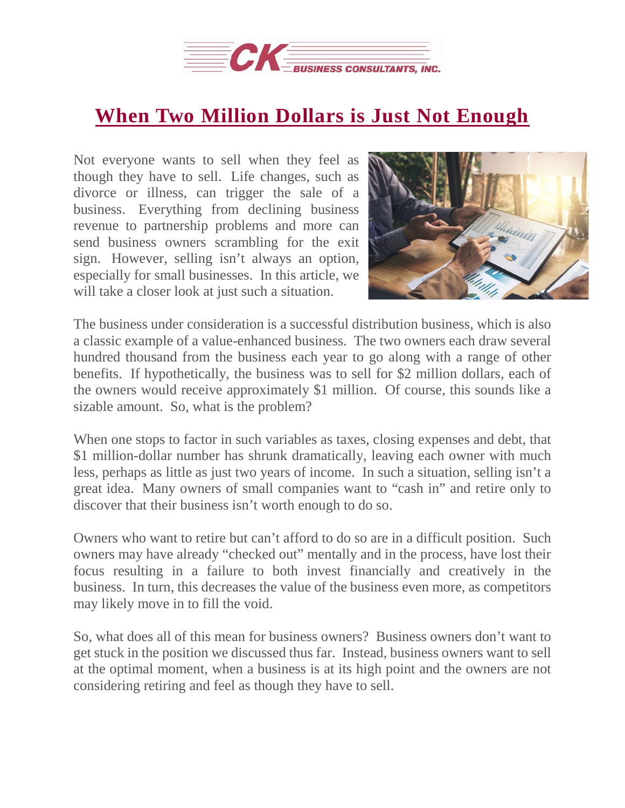

## **When Two Million Dollars is Just Not [Enough](https://deal-studio.com/two-million-dollars-just-not-enough/)**

Not everyone wants to sell when they feel as though they have to sell. Life changes, such as divorce or illness, can trigger the sale of a business. Everything from declining business revenue to partnership problems and more can send business owners scrambling for the exit sign. However, selling isn't always an option, especially for small businesses. In this article, we will take a closer look at just such a situation.



The business under consideration is a successful distribution business, which is also a classic example of a value-enhanced business. The two owners each draw several hundred thousand from the business each year to go along with a range of other benefits. If hypothetically, the business was to sell for \$2 million dollars, each of the owners would receive approximately \$1 million. Of course, this sounds like a sizable amount. So, what is the problem?

When one stops to factor in such variables as taxes, closing expenses and debt, that \$1 million-dollar number has shrunk dramatically, leaving each owner with much less, perhaps as little as just two years of income. In such a situation, selling isn't a great idea. Many owners of small companies want to "cash in" and retire only to discover that their business isn't worth enough to do so.

Owners who want to retire but can't afford to do so are in a difficult position. Such owners may have already "checked out" mentally and in the process, have lost their focus resulting in a failure to both invest financially and creatively in the business. In turn, this decreases the value of the business even more, as competitors may likely move in to fill the void.

So, what does all of this mean for business owners? Business owners don't want to get stuck in the position we discussed thus far. Instead, business owners want to sell at the optimal moment, when a business is at its high point and the owners are not considering retiring and feel as though they have to sell.